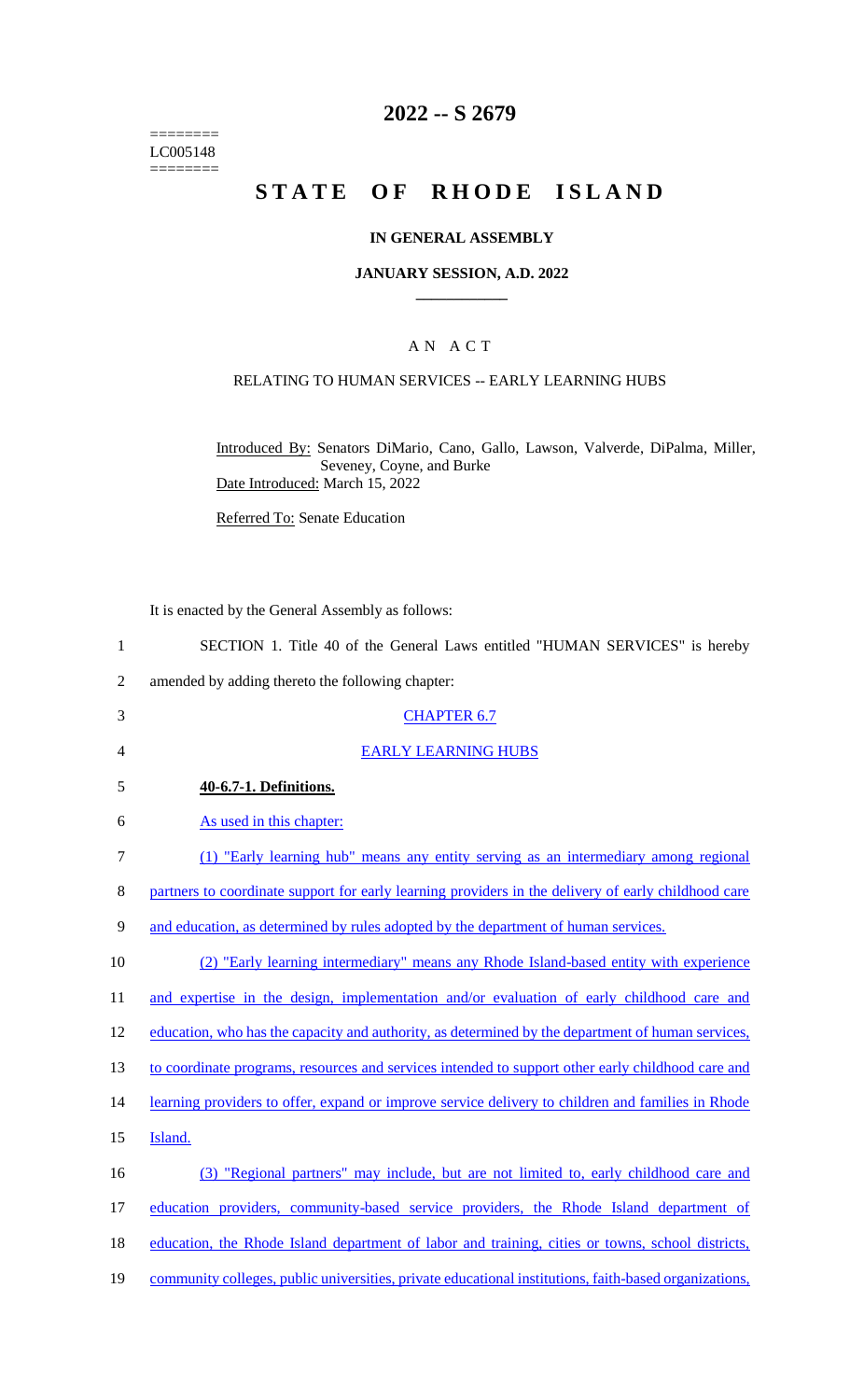======== LC005148  $=$ 

### **2022 -- S 2679**

# STATE OF RHODE ISLAND

### **IN GENERAL ASSEMBLY**

#### **JANUARY SESSION, A.D. 2022 \_\_\_\_\_\_\_\_\_\_\_\_**

### A N A C T

### RELATING TO HUMAN SERVICES -- EARLY LEARNING HUBS

Introduced By: Senators DiMario, Cano, Gallo, Lawson, Valverde, DiPalma, Miller, Seveney, Coyne, and Burke Date Introduced: March 15, 2022

Referred To: Senate Education

|                | It is enacted by the General Assembly as follows:                                                     |
|----------------|-------------------------------------------------------------------------------------------------------|
| $\mathbf{1}$   | SECTION 1. Title 40 of the General Laws entitled "HUMAN SERVICES" is hereby                           |
| $\overline{2}$ | amended by adding thereto the following chapter:                                                      |
| 3              | <b>CHAPTER 6.7</b>                                                                                    |
| 4              | <b>EARLY LEARNING HUBS</b>                                                                            |
| 5              | 40-6.7-1. Definitions.                                                                                |
| 6              | As used in this chapter:                                                                              |
| 7              | (1) "Early learning hub" means any entity serving as an intermediary among regional                   |
| 8              | partners to coordinate support for early learning providers in the delivery of early childhood care   |
| 9              | and education, as determined by rules adopted by the department of human services.                    |
| 10             | (2) "Early learning intermediary" means any Rhode Island-based entity with experience                 |
| 11             | and expertise in the design, implementation and/or evaluation of early childhood care and             |
| 12             | education, who has the capacity and authority, as determined by the department of human services,     |
| 13             | to coordinate programs, resources and services intended to support other early childhood care and     |
| 14             | learning providers to offer, expand or improve service delivery to children and families in Rhode     |
| 15             | Island.                                                                                               |
| 16             | (3) "Regional partners" may include, but are not limited to, early childhood care and                 |
| 17             | education providers, community-based service providers, the Rhode Island department of                |
| 18             | education, the Rhode Island department of labor and training, cities or towns, school districts,      |
| 19             | community colleges, public universities, private educational institutions, faith-based organizations, |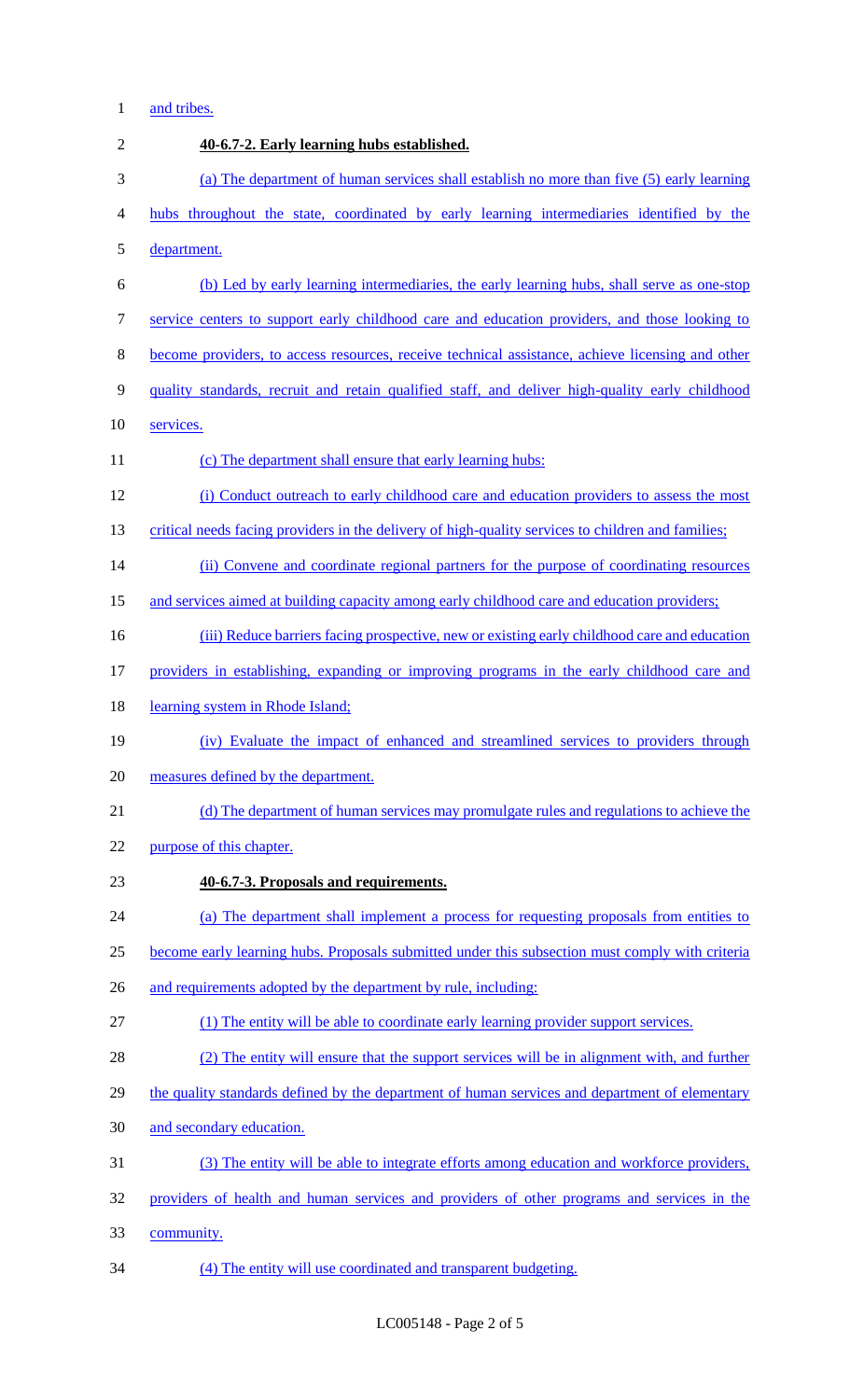### 1 and tribes.

| $\sqrt{2}$       | 40-6.7-2. Early learning hubs established.                                                         |
|------------------|----------------------------------------------------------------------------------------------------|
| $\mathfrak{Z}$   | (a) The department of human services shall establish no more than five (5) early learning          |
| $\overline{4}$   | hubs throughout the state, coordinated by early learning intermediaries identified by the          |
| 5                | department.                                                                                        |
| 6                | (b) Led by early learning intermediaries, the early learning hubs, shall serve as one-stop         |
| $\boldsymbol{7}$ | service centers to support early childhood care and education providers, and those looking to      |
| $8\,$            | become providers, to access resources, receive technical assistance, achieve licensing and other   |
| 9                | quality standards, recruit and retain qualified staff, and deliver high-quality early childhood    |
| 10               | services.                                                                                          |
| 11               | (c) The department shall ensure that early learning hubs:                                          |
| 12               | (i) Conduct outreach to early childhood care and education providers to assess the most            |
| 13               | critical needs facing providers in the delivery of high-quality services to children and families; |
| 14               | (ii) Convene and coordinate regional partners for the purpose of coordinating resources            |
| 15               | and services aimed at building capacity among early childhood care and education providers;        |
| 16               | (iii) Reduce barriers facing prospective, new or existing early childhood care and education       |
| 17               | providers in establishing, expanding or improving programs in the early childhood care and         |
| 18               | learning system in Rhode Island;                                                                   |
| 19               | (iv) Evaluate the impact of enhanced and streamlined services to providers through                 |
| 20               | measures defined by the department.                                                                |
| 21               | (d) The department of human services may promulgate rules and regulations to achieve the           |
| 22               | purpose of this chapter.                                                                           |
| 23               | 40-6.7-3. Proposals and requirements.                                                              |
| 24               | (a) The department shall implement a process for requesting proposals from entities to             |
| 25               | become early learning hubs. Proposals submitted under this subsection must comply with criteria    |
| 26               | and requirements adopted by the department by rule, including:                                     |
| 27               | (1) The entity will be able to coordinate early learning provider support services.                |
| 28               | (2) The entity will ensure that the support services will be in alignment with, and further        |
| 29               | the quality standards defined by the department of human services and department of elementary     |
| 30               | and secondary education.                                                                           |
| 31               | (3) The entity will be able to integrate efforts among education and workforce providers,          |
| 32               | providers of health and human services and providers of other programs and services in the         |
| 33               | community.                                                                                         |
| 34               | (4) The entity will use coordinated and transparent budgeting.                                     |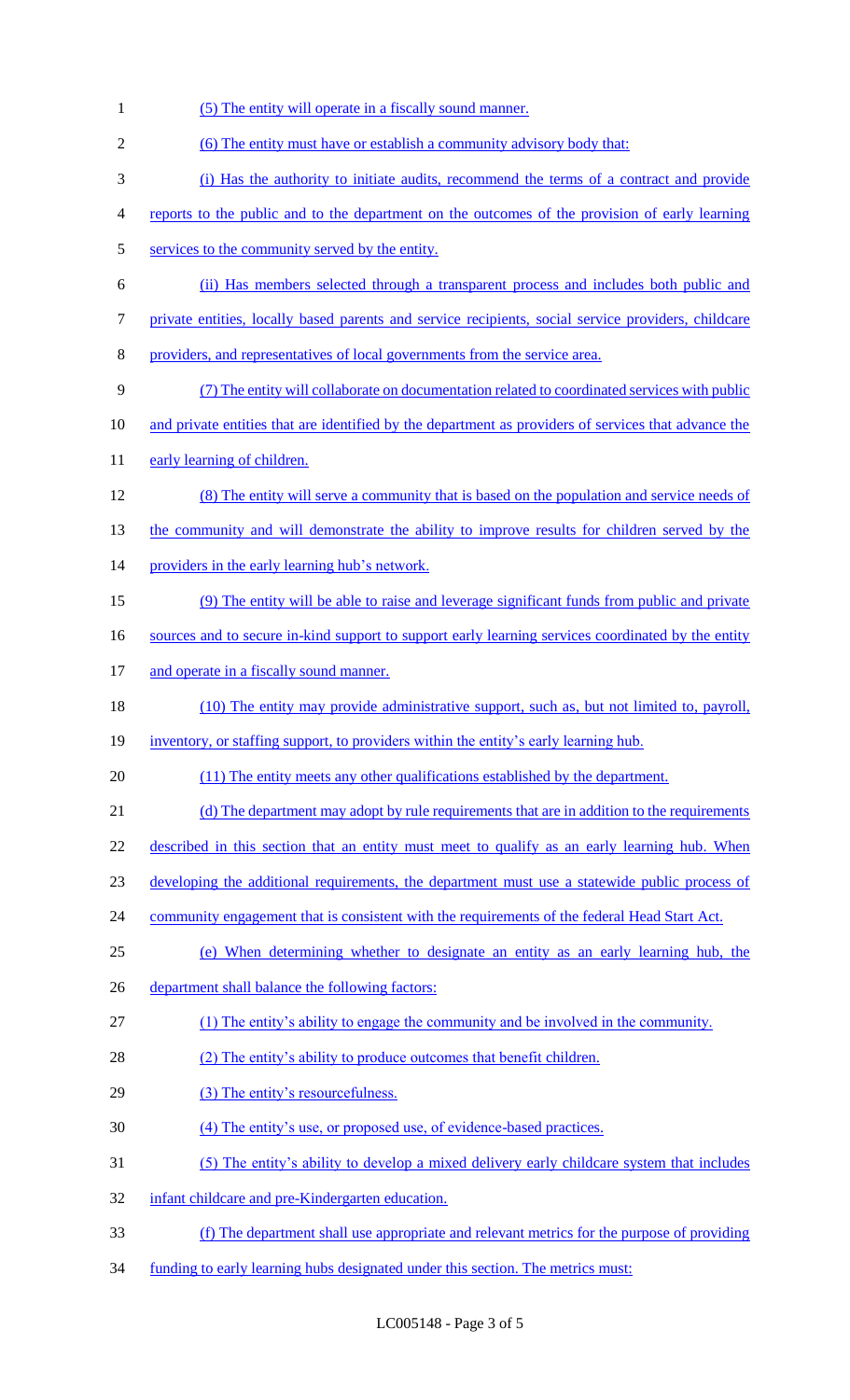| $\mathbf{1}$   | (5) The entity will operate in a fiscally sound manner.                                              |
|----------------|------------------------------------------------------------------------------------------------------|
| $\overline{2}$ | (6) The entity must have or establish a community advisory body that:                                |
| 3              | (i) Has the authority to initiate audits, recommend the terms of a contract and provide              |
| 4              | reports to the public and to the department on the outcomes of the provision of early learning       |
| 5              | services to the community served by the entity.                                                      |
| 6              | (ii) Has members selected through a transparent process and includes both public and                 |
| 7              | private entities, locally based parents and service recipients, social service providers, childcare  |
| 8              | providers, and representatives of local governments from the service area.                           |
| 9              | (7) The entity will collaborate on documentation related to coordinated services with public         |
| 10             | and private entities that are identified by the department as providers of services that advance the |
| 11             | early learning of children.                                                                          |
| 12             | (8) The entity will serve a community that is based on the population and service needs of           |
| 13             | the community and will demonstrate the ability to improve results for children served by the         |
| 14             | providers in the early learning hub's network.                                                       |
| 15             | (9) The entity will be able to raise and leverage significant funds from public and private          |
| 16             | sources and to secure in-kind support to support early learning services coordinated by the entity   |
| 17             | and operate in a fiscally sound manner.                                                              |
| 18             | (10) The entity may provide administrative support, such as, but not limited to, payroll,            |
| 19             | inventory, or staffing support, to providers within the entity's early learning hub.                 |
| 20             | (11) The entity meets any other qualifications established by the department.                        |
| 21             | (d) The department may adopt by rule requirements that are in addition to the requirements           |
| 22             | described in this section that an entity must meet to qualify as an early learning hub. When         |
| 23             | developing the additional requirements, the department must use a statewide public process of        |
| 24             | community engagement that is consistent with the requirements of the federal Head Start Act.         |
| 25             | (e) When determining whether to designate an entity as an early learning hub, the                    |
| 26             | department shall balance the following factors:                                                      |
| 27             | (1) The entity's ability to engage the community and be involved in the community.                   |
| 28             | (2) The entity's ability to produce outcomes that benefit children.                                  |
| 29             | (3) The entity's resourcefulness.                                                                    |
| 30             | (4) The entity's use, or proposed use, of evidence-based practices.                                  |
| 31             | (5) The entity's ability to develop a mixed delivery early childcare system that includes            |
| 32             | infant childcare and pre-Kindergarten education.                                                     |
| 33             | (f) The department shall use appropriate and relevant metrics for the purpose of providing           |
| 34             | funding to early learning hubs designated under this section. The metrics must:                      |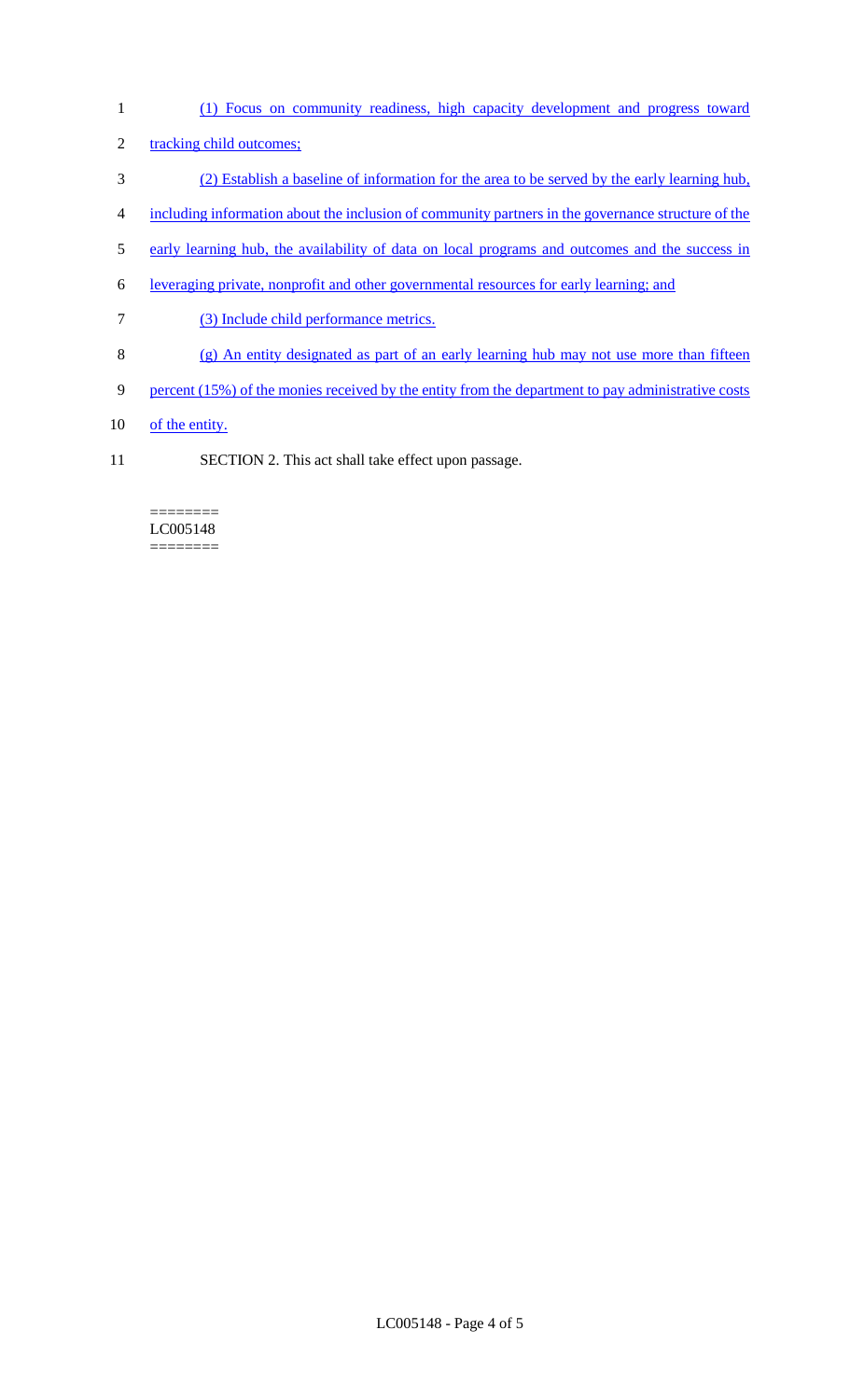- 1 (1) Focus on community readiness, high capacity development and progress toward
- 2 tracking child outcomes;
- 3 (2) Establish a baseline of information for the area to be served by the early learning hub,
- 4 including information about the inclusion of community partners in the governance structure of the
- 5 early learning hub, the availability of data on local programs and outcomes and the success in
- 6 leveraging private, nonprofit and other governmental resources for early learning; and
- 7 (3) Include child performance metrics.
- 8 (g) An entity designated as part of an early learning hub may not use more than fifteen
- 9 percent (15%) of the monies received by the entity from the department to pay administrative costs
- 10 of the entity.
- 11 SECTION 2. This act shall take effect upon passage.

#### ======== LC005148 ========